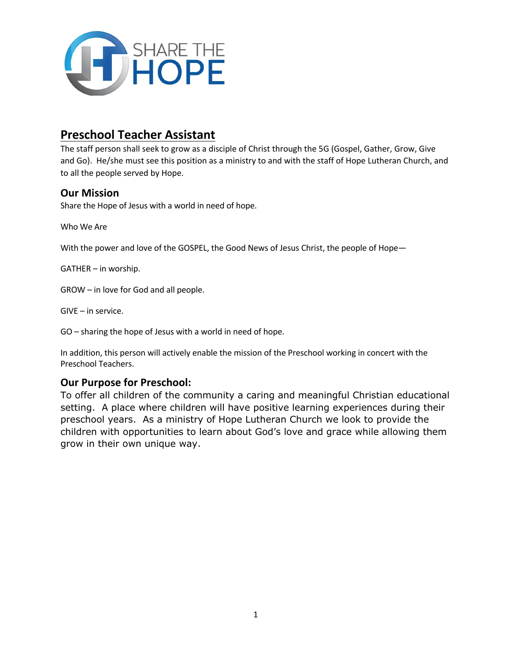

## **Preschool Teacher Assistant**

The staff person shall seek to grow as a disciple of Christ through the 5G (Gospel, Gather, Grow, Give and Go). He/she must see this position as a ministry to and with the staff of Hope Lutheran Church, and to all the people served by Hope.

#### **Our Mission**

Share the Hope of Jesus with a world in need of hope.

Who We Are

With the power and love of the GOSPEL, the Good News of Jesus Christ, the people of Hope-

GATHER – in worship.

GROW – in love for God and all people.

GIVE – in service.

GO – sharing the hope of Jesus with a world in need of hope.

In addition, this person will actively enable the mission of the Preschool working in concert with the Preschool Teachers.

### **Our Purpose for Preschool:**

To offer all children of the community a caring and meaningful Christian educational setting. A place where children will have positive learning experiences during their preschool years. As a ministry of Hope Lutheran Church we look to provide the children with opportunities to learn about God's love and grace while allowing them grow in their own unique way.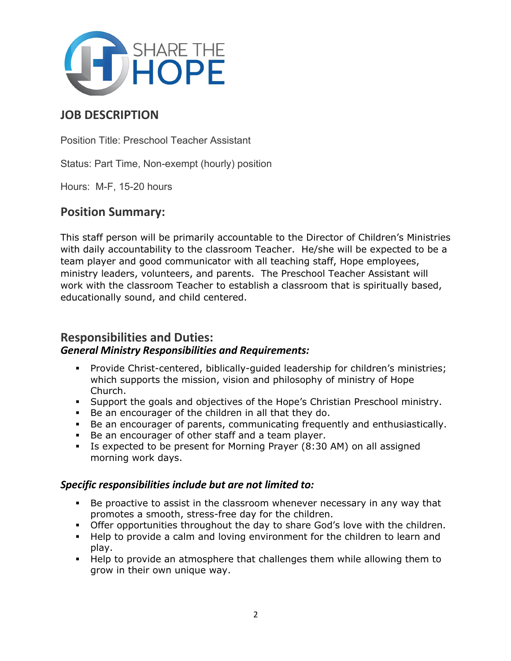

# **JOB DESCRIPTION**

Position Title: Preschool Teacher Assistant

Status: Part Time, Non-exempt (hourly) position

Hours: M-F, 15-20 hours

### **Position Summary:**

This staff person will be primarily accountable to the Director of Children's Ministries with daily accountability to the classroom Teacher. He/she will be expected to be a team player and good communicator with all teaching staff, Hope employees, ministry leaders, volunteers, and parents. The Preschool Teacher Assistant will work with the classroom Teacher to establish a classroom that is spiritually based, educationally sound, and child centered.

### **Responsibilities and Duties:** *General Ministry Responsibilities and Requirements:*

- § Provide Christ-centered, biblically-guided leadership for children's ministries; which supports the mission, vision and philosophy of ministry of Hope Church.
- § Support the goals and objectives of the Hope's Christian Preschool ministry.
- § Be an encourager of the children in all that they do.
- § Be an encourager of parents, communicating frequently and enthusiastically.
- § Be an encourager of other staff and a team player.
- § Is expected to be present for Morning Prayer (8:30 AM) on all assigned morning work days.

### *Specific responsibilities include but are not limited to:*

- § Be proactive to assist in the classroom whenever necessary in any way that promotes a smooth, stress-free day for the children.
- § Offer opportunities throughout the day to share God's love with the children.
- § Help to provide a calm and loving environment for the children to learn and play.
- § Help to provide an atmosphere that challenges them while allowing them to grow in their own unique way.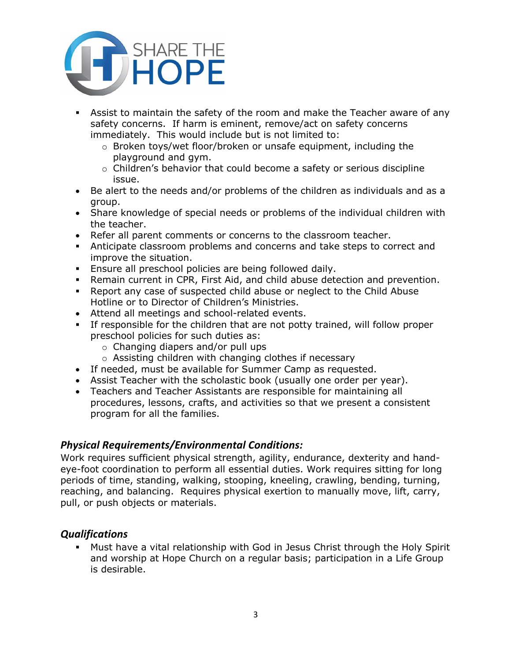

- § Assist to maintain the safety of the room and make the Teacher aware of any safety concerns. If harm is eminent, remove/act on safety concerns immediately. This would include but is not limited to:
	- $\circ$  Broken toys/wet floor/broken or unsafe equipment, including the playground and gym.
	- $\circ$  Children's behavior that could become a safety or serious discipline issue.
- Be alert to the needs and/or problems of the children as individuals and as a group.
- Share knowledge of special needs or problems of the individual children with the teacher.
- Refer all parent comments or concerns to the classroom teacher.
- § Anticipate classroom problems and concerns and take steps to correct and improve the situation.
- **Ensure all preschool policies are being followed daily.**
- § Remain current in CPR, First Aid, and child abuse detection and prevention.
- § Report any case of suspected child abuse or neglect to the Child Abuse Hotline or to Director of Children's Ministries.
- Attend all meetings and school-related events.
- § If responsible for the children that are not potty trained, will follow proper preschool policies for such duties as:
	- o Changing diapers and/or pull ups
	- o Assisting children with changing clothes if necessary
- If needed, must be available for Summer Camp as requested.
- Assist Teacher with the scholastic book (usually one order per year).
- Teachers and Teacher Assistants are responsible for maintaining all procedures, lessons, crafts, and activities so that we present a consistent program for all the families.

### *Physical Requirements/Environmental Conditions:*

Work requires sufficient physical strength, agility, endurance, dexterity and handeye-foot coordination to perform all essential duties. Work requires sitting for long periods of time, standing, walking, stooping, kneeling, crawling, bending, turning, reaching, and balancing. Requires physical exertion to manually move, lift, carry, pull, or push objects or materials.

### *Qualifications*

§ Must have a vital relationship with God in Jesus Christ through the Holy Spirit and worship at Hope Church on a regular basis; participation in a Life Group is desirable.